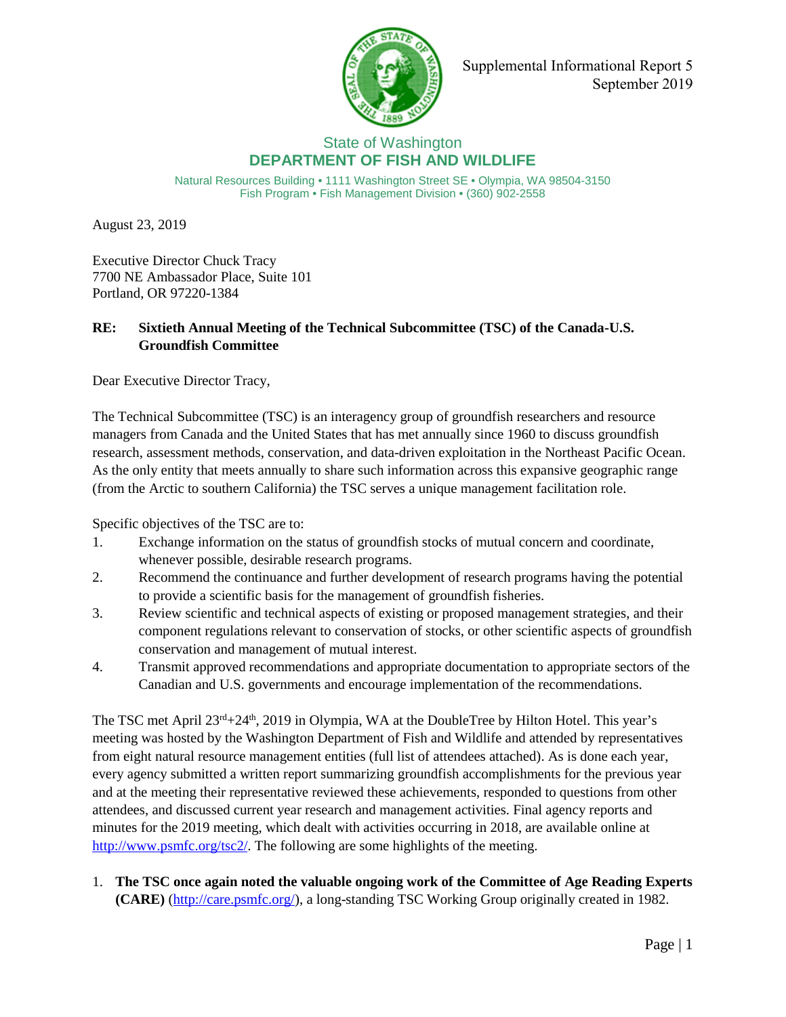

Supplemental Informational Report 5 September 2019

## State of Washington **DEPARTMENT OF FISH AND WILDLIFE**

Natural Resources Building • 1111 Washington Street SE • Olympia, WA 98504-3150 Fish Program • Fish Management Division • (360) 902-2558

August 23, 2019

Executive Director Chuck Tracy 7700 NE Ambassador Place, Suite 101 Portland, OR 97220-1384

## **RE: Sixtieth Annual Meeting of the Technical Subcommittee (TSC) of the Canada-U.S. Groundfish Committee**

Dear Executive Director Tracy,

The Technical Subcommittee (TSC) is an interagency group of groundfish researchers and resource managers from Canada and the United States that has met annually since 1960 to discuss groundfish research, assessment methods, conservation, and data-driven exploitation in the Northeast Pacific Ocean. As the only entity that meets annually to share such information across this expansive geographic range (from the Arctic to southern California) the TSC serves a unique management facilitation role.

Specific objectives of the TSC are to:

- 1. Exchange information on the status of groundfish stocks of mutual concern and coordinate, whenever possible, desirable research programs.
- 2. Recommend the continuance and further development of research programs having the potential to provide a scientific basis for the management of groundfish fisheries.
- 3. Review scientific and technical aspects of existing or proposed management strategies, and their component regulations relevant to conservation of stocks, or other scientific aspects of groundfish conservation and management of mutual interest.
- 4. Transmit approved recommendations and appropriate documentation to appropriate sectors of the Canadian and U.S. governments and encourage implementation of the recommendations.

The TSC met April 23<sup>rd</sup>+24<sup>th</sup>, 2019 in Olympia, WA at the DoubleTree by Hilton Hotel. This year's meeting was hosted by the Washington Department of Fish and Wildlife and attended by representatives from eight natural resource management entities (full list of attendees attached). As is done each year, every agency submitted a written report summarizing groundfish accomplishments for the previous year and at the meeting their representative reviewed these achievements, responded to questions from other attendees, and discussed current year research and management activities. Final agency reports and minutes for the 2019 meeting, which dealt with activities occurring in 2018, are available online at [http://www.psmfc.org/tsc2/.](http://www.psmfc.org/tsc2/) The following are some highlights of the meeting.

1. **The TSC once again noted the valuable ongoing work of the Committee of Age Reading Experts (CARE)** [\(http://care.psmfc.org/\)](http://care.psmfc.org/), a long-standing TSC Working Group originally created in 1982.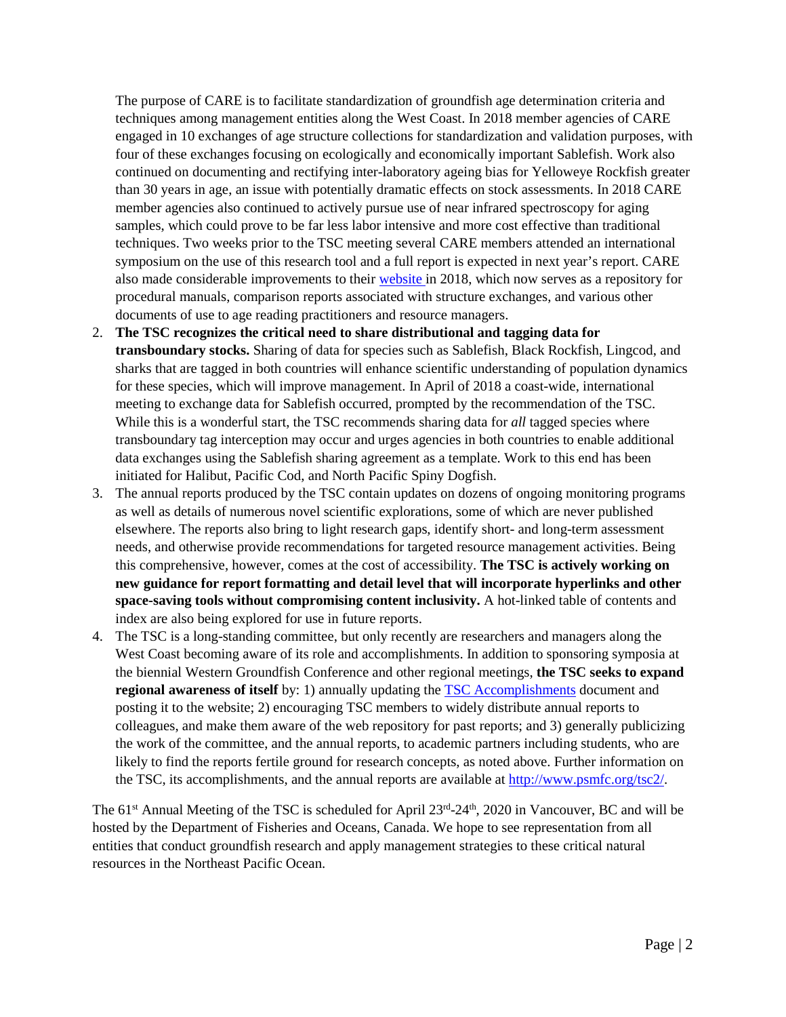The purpose of CARE is to facilitate standardization of groundfish age determination criteria and techniques among management entities along the West Coast. In 2018 member agencies of CARE engaged in 10 exchanges of age structure collections for standardization and validation purposes, with four of these exchanges focusing on ecologically and economically important Sablefish. Work also continued on documenting and rectifying inter-laboratory ageing bias for Yelloweye Rockfish greater than 30 years in age, an issue with potentially dramatic effects on stock assessments. In 2018 CARE member agencies also continued to actively pursue use of near infrared spectroscopy for aging samples, which could prove to be far less labor intensive and more cost effective than traditional techniques. Two weeks prior to the TSC meeting several CARE members attended an international symposium on the use of this research tool and a full report is expected in next year's report. CARE also made considerable improvements to their [website](http://care.psmfc.org/) in 2018, which now serves as a repository for procedural manuals, comparison reports associated with structure exchanges, and various other documents of use to age reading practitioners and resource managers.

- 2. **The TSC recognizes the critical need to share distributional and tagging data for transboundary stocks.** Sharing of data for species such as Sablefish, Black Rockfish, Lingcod, and sharks that are tagged in both countries will enhance scientific understanding of population dynamics for these species, which will improve management. In April of 2018 a coast-wide, international meeting to exchange data for Sablefish occurred, prompted by the recommendation of the TSC. While this is a wonderful start, the TSC recommends sharing data for *all* tagged species where transboundary tag interception may occur and urges agencies in both countries to enable additional data exchanges using the Sablefish sharing agreement as a template. Work to this end has been initiated for Halibut, Pacific Cod, and North Pacific Spiny Dogfish.
- 3. The annual reports produced by the TSC contain updates on dozens of ongoing monitoring programs as well as details of numerous novel scientific explorations, some of which are never published elsewhere. The reports also bring to light research gaps, identify short- and long-term assessment needs, and otherwise provide recommendations for targeted resource management activities. Being this comprehensive, however, comes at the cost of accessibility. **The TSC is actively working on new guidance for report formatting and detail level that will incorporate hyperlinks and other space-saving tools without compromising content inclusivity.** A hot-linked table of contents and index are also being explored for use in future reports.
- 4. The TSC is a long-standing committee, but only recently are researchers and managers along the West Coast becoming aware of its role and accomplishments. In addition to sponsoring symposia at the biennial Western Groundfish Conference and other regional meetings, **the TSC seeks to expand regional awareness of itself** by: 1) annually updating the [TSC Accomplishments](https://www.psmfc.org/tsc2/) document and posting it to the website; 2) encouraging TSC members to widely distribute annual reports to colleagues, and make them aware of the web repository for past reports; and 3) generally publicizing the work of the committee, and the annual reports, to academic partners including students, who are likely to find the reports fertile ground for research concepts, as noted above. Further information on the TSC, its accomplishments, and the annual reports are available at [http://www.psmfc.org/tsc2/.](http://www.psmfc.org/tsc2/)

The 61<sup>st</sup> Annual Meeting of the TSC is scheduled for April 23<sup>rd</sup>-24<sup>th</sup>, 2020 in Vancouver, BC and will be hosted by the Department of Fisheries and Oceans, Canada. We hope to see representation from all entities that conduct groundfish research and apply management strategies to these critical natural resources in the Northeast Pacific Ocean.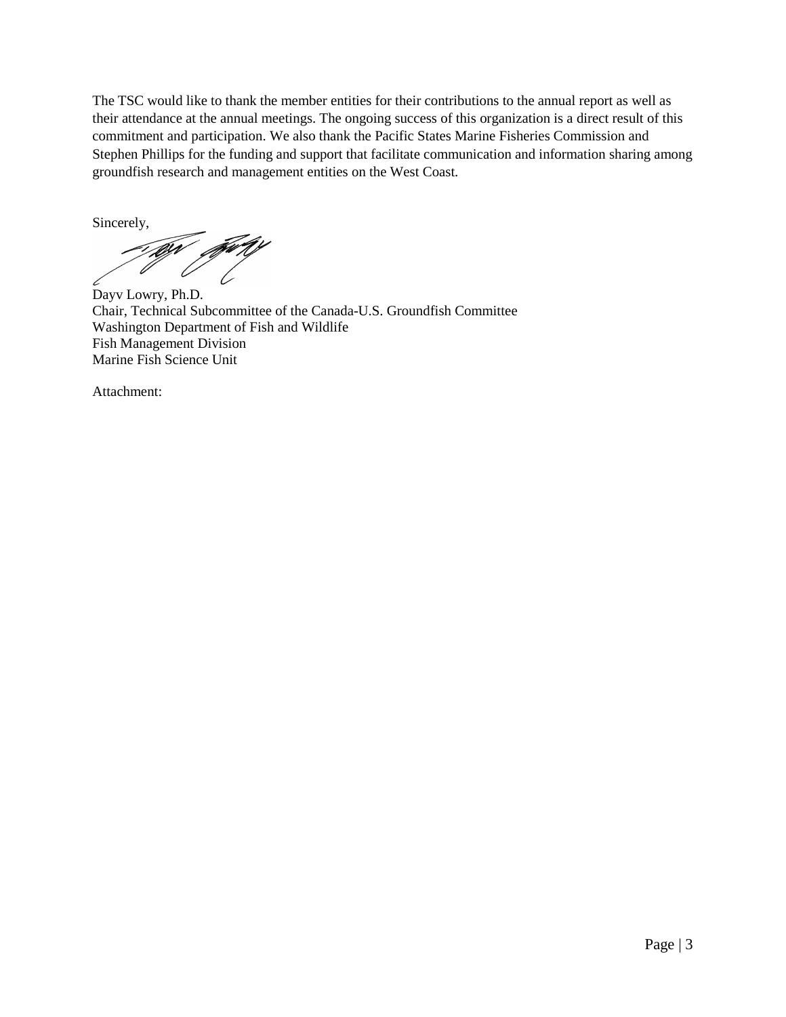The TSC would like to thank the member entities for their contributions to the annual report as well as their attendance at the annual meetings. The ongoing success of this organization is a direct result of this commitment and participation. We also thank the Pacific States Marine Fisheries Commission and Stephen Phillips for the funding and support that facilitate communication and information sharing among groundfish research and management entities on the West Coast.

Sincerely,

11

Dayv Lowry, Ph.D. Chair, Technical Subcommittee of the Canada-U.S. Groundfish Committee Washington Department of Fish and Wildlife Fish Management Division Marine Fish Science Unit

Attachment: